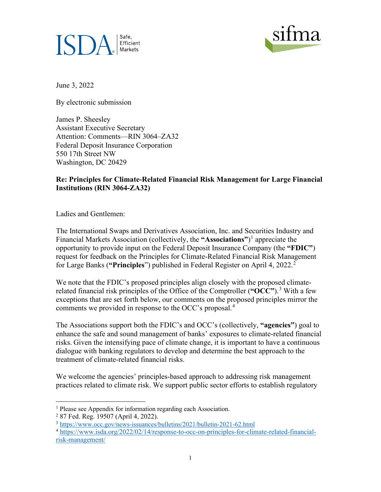



June 3, 2022

By electronic submission

James P. Sheesley Assistant Executive Secretary Attention: Comments—RIN 3064–ZA32 Federal Deposit Insurance Corporation 550 17th Street NW Washington, DC 20429

### **Re: Principles for Climate-Related Financial Risk Management for Large Financial Institutions (RIN 3064-ZA32)**

Ladies and Gentlemen:

The International Swaps and Derivatives Association, Inc. and Securities Industry and Financial Markets Association (collectively, the **"Associations"**) [1](#page-0-0) appreciate the opportunity to provide input on the Federal Deposit Insurance Company (the **"FDIC"**) request for feedback on the Principles for Climate-Related Financial Risk Management for Large Banks (**"Principles**") published in Federal Register on April 4, 2022. [2](#page-0-1)

We note that the FDIC's proposed principles align closely with the proposed climaterelated financial risk principles of the Office of the Comptroller (**"OCC"**).[3](#page-0-2) With a few exceptions that are set forth below, our comments on the proposed principles mirror the comments we provided in response to the OCC's proposal.<sup>[4](#page-0-3)</sup>

The Associations support both the FDIC's and OCC's (collectively, **"agencies"**) goal to enhance the safe and sound management of banks' exposures to climate-related financial risks. Given the intensifying pace of climate change, it is important to have a continuous dialogue with banking regulators to develop and determine the best approach to the treatment of climate-related financial risks.

We welcome the agencies' principles-based approach to addressing risk management practices related to climate risk. We support public sector efforts to establish regulatory

<span id="page-0-0"></span><sup>1</sup> Please see Appendix for information regarding each Association.

<span id="page-0-1"></span><sup>2</sup> 87 Fed. Reg. 19507 (April 4, 2022).

<span id="page-0-2"></span><sup>3</sup> <https://www.occ.gov/news-issuances/bulletins/2021/bulletin-2021-62.html>

<span id="page-0-3"></span><sup>4</sup> [https://www.isda.org/2022/02/14/response-to-occ-on-principles-for-climate-related-financial](https://www.isda.org/2022/02/14/response-to-occ-on-principles-for-climate-related-financial-risk-management/)[risk-management/](https://www.isda.org/2022/02/14/response-to-occ-on-principles-for-climate-related-financial-risk-management/)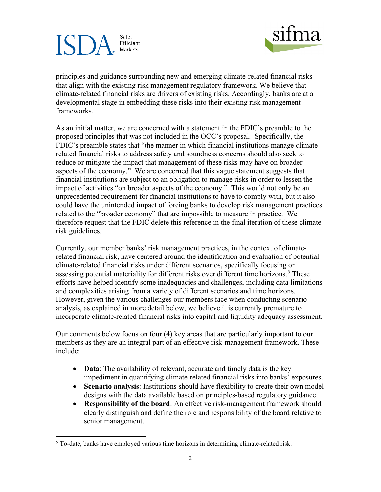# Safe. Efficient Markets



principles and guidance surrounding new and emerging climate-related financial risks that align with the existing risk management regulatory framework. We believe that climate-related financial risks are drivers of existing risks. Accordingly, banks are at a developmental stage in embedding these risks into their existing risk management frameworks.

As an initial matter, we are concerned with a statement in the FDIC's preamble to the proposed principles that was not included in the OCC's proposal. Specifically, the FDIC's preamble states that "the manner in which financial institutions manage climaterelated financial risks to address safety and soundness concerns should also seek to reduce or mitigate the impact that management of these risks may have on broader aspects of the economy." We are concerned that this vague statement suggests that financial institutions are subject to an obligation to manage risks in order to lessen the impact of activities "on broader aspects of the economy." This would not only be an unprecedented requirement for financial institutions to have to comply with, but it also could have the unintended impact of forcing banks to develop risk management practices related to the "broader economy" that are impossible to measure in practice. We therefore request that the FDIC delete this reference in the final iteration of these climaterisk guidelines.

Currently, our member banks' risk management practices, in the context of climaterelated financial risk, have centered around the identification and evaluation of potential climate-related financial risks under different scenarios, specifically focusing on assessing potential materiality for different risks over different time horizons.<sup>[5](#page-1-0)</sup> These efforts have helped identify some inadequacies and challenges, including data limitations and complexities arising from a variety of different scenarios and time horizons. However, given the various challenges our members face when conducting scenario analysis, as explained in more detail below, we believe it is currently premature to incorporate climate-related financial risks into capital and liquidity adequacy assessment.

Our comments below focus on four (4) key areas that are particularly important to our members as they are an integral part of an effective risk-management framework. These include:

- **Data**: The availability of relevant, accurate and timely data is the key impediment in quantifying climate-related financial risks into banks' exposures.
- **Scenario analysis**: Institutions should have flexibility to create their own model designs with the data available based on principles-based regulatory guidance.
- **Responsibility of the board**: An effective risk-management framework should clearly distinguish and define the role and responsibility of the board relative to senior management.

<span id="page-1-0"></span><sup>&</sup>lt;sup>5</sup> To-date, banks have employed various time horizons in determining climate-related risk.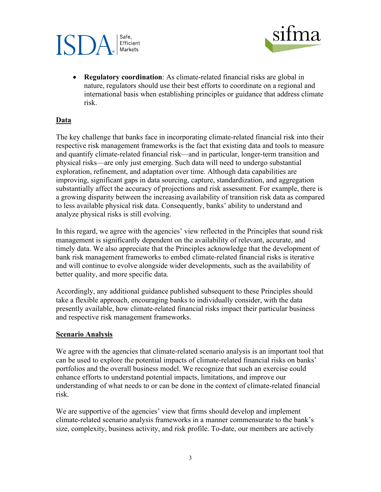# Safe. Efficient Markets



• **Regulatory coordination**: As climate-related financial risks are global in nature, regulators should use their best efforts to coordinate on a regional and international basis when establishing principles or guidance that address climate risk.

### **Data**

The key challenge that banks face in incorporating climate-related financial risk into their respective risk management frameworks is the fact that existing data and tools to measure and quantify climate-related financial risk—and in particular, longer-term transition and physical risks—are only just emerging. Such data will need to undergo substantial exploration, refinement, and adaptation over time. Although data capabilities are improving, significant gaps in data sourcing, capture, standardization, and aggregation substantially affect the accuracy of projections and risk assessment. For example, there is a growing disparity between the increasing availability of transition risk data as compared to less available physical risk data. Consequently, banks' ability to understand and analyze physical risks is still evolving.

In this regard, we agree with the agencies' view reflected in the Principles that sound risk management is significantly dependent on the availability of relevant, accurate, and timely data. We also appreciate that the Principles acknowledge that the development of bank risk management frameworks to embed climate-related financial risks is iterative and will continue to evolve alongside wider developments, such as the availability of better quality, and more specific data.

Accordingly, any additional guidance published subsequent to these Principles should take a flexible approach, encouraging banks to individually consider, with the data presently available, how climate-related financial risks impact their particular business and respective risk management frameworks.

#### **Scenario Analysis**

We agree with the agencies that climate-related scenario analysis is an important tool that can be used to explore the potential impacts of climate-related financial risks on banks' portfolios and the overall business model. We recognize that such an exercise could enhance efforts to understand potential impacts, limitations, and improve our understanding of what needs to or can be done in the context of climate-related financial risk.

We are supportive of the agencies' view that firms should develop and implement climate-related scenario analysis frameworks in a manner commensurate to the bank's size, complexity, business activity, and risk profile. To-date, our members are actively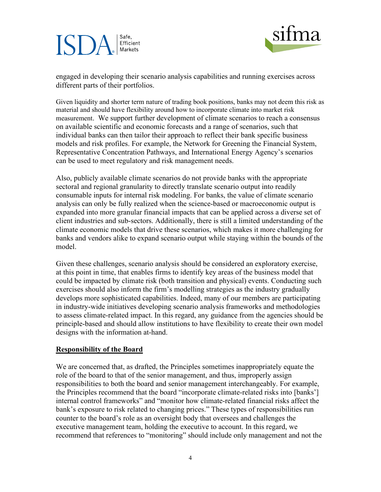# Safe, Efficient Markets



engaged in developing their scenario analysis capabilities and running exercises across different parts of their portfolios.

Given liquidity and shorter term nature of trading book positions, banks may not deem this risk as material and should have flexibility around how to incorporate climate into market risk measurement. We support further development of climate scenarios to reach a consensus on available scientific and economic forecasts and a range of scenarios, such that individual banks can then tailor their approach to reflect their bank specific business models and risk profiles. For example, the Network for Greening the Financial System, Representative Concentration Pathways, and International Energy Agency's scenarios can be used to meet regulatory and risk management needs.

Also, publicly available climate scenarios do not provide banks with the appropriate sectoral and regional granularity to directly translate scenario output into readily consumable inputs for internal risk modeling. For banks, the value of climate scenario analysis can only be fully realized when the science-based or macroeconomic output is expanded into more granular financial impacts that can be applied across a diverse set of client industries and sub-sectors. Additionally, there is still a limited understanding of the climate economic models that drive these scenarios, which makes it more challenging for banks and vendors alike to expand scenario output while staying within the bounds of the model.

Given these challenges, scenario analysis should be considered an exploratory exercise, at this point in time, that enables firms to identify key areas of the business model that could be impacted by climate risk (both transition and physical) events. Conducting such exercises should also inform the firm's modelling strategies as the industry gradually develops more sophisticated capabilities. Indeed, many of our members are participating in industry-wide initiatives developing scenario analysis frameworks and methodologies to assess climate-related impact. In this regard, any guidance from the agencies should be principle-based and should allow institutions to have flexibility to create their own model designs with the information at-hand.

#### **Responsibility of the Board**

We are concerned that, as drafted, the Principles sometimes inappropriately equate the role of the board to that of the senior management, and thus, improperly assign responsibilities to both the board and senior management interchangeably. For example, the Principles recommend that the board "incorporate climate-related risks into [banks'] internal control frameworks" and "monitor how climate-related financial risks affect the bank's exposure to risk related to changing prices." These types of responsibilities run counter to the board's role as an oversight body that oversees and challenges the executive management team, holding the executive to account. In this regard, we recommend that references to "monitoring" should include only management and not the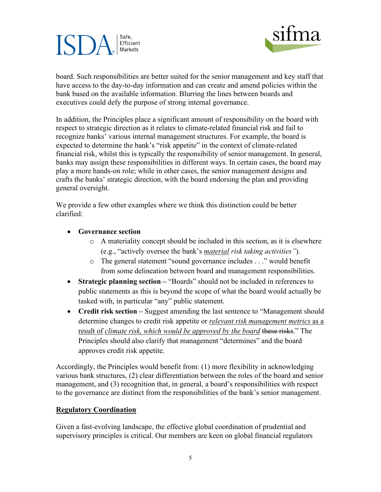# Safe, Efficient Markets



board. Such responsibilities are better suited for the senior management and key staff that have access to the day-to-day information and can create and amend policies within the bank based on the available information. Blurring the lines between boards and executives could defy the purpose of strong internal governance.

In addition, the Principles place a significant amount of responsibility on the board with respect to strategic direction as it relates to climate-related financial risk and fail to recognize banks' various internal management structures. For example, the board is expected to determine the bank's "risk appetite" in the context of climate-related financial risk, whilst this is typically the responsibility of senior management. In general, banks may assign these responsibilities in different ways. In certain cases, the board may play a more hands-on role; while in other cases, the senior management designs and crafts the banks' strategic direction, with the board endorsing the plan and providing general oversight.

We provide a few other examples where we think this distinction could be better clarified:

- **Governance section** 
	- o A materiality concept should be included in this section, as it is elsewhere (e.g., "actively oversee the bank's *material risk taking activities"*).
	- o The general statement "sound governance includes . . ." would benefit from some delineation between board and management responsibilities.
- **Strategic planning section** "Boards" should not be included in references to public statements as this is beyond the scope of what the board would actually be tasked with, in particular "any" public statement.
- **Credit risk section** Suggest amending the last sentence to "Management should determine changes to credit risk appetite or *relevant risk management metrics* as a result of *climate risk, which would be approved by the board* these risks." The Principles should also clarify that management "determines" and the board approves credit risk appetite.

Accordingly, the Principles would benefit from: (1) more flexibility in acknowledging various bank structures, (2) clear differentiation between the roles of the board and senior management, and (3) recognition that, in general, a board's responsibilities with respect to the governance are distinct from the responsibilities of the bank's senior management.

### **Regulatory Coordination**

Given a fast-evolving landscape, the effective global coordination of prudential and supervisory principles is critical. Our members are keen on global financial regulators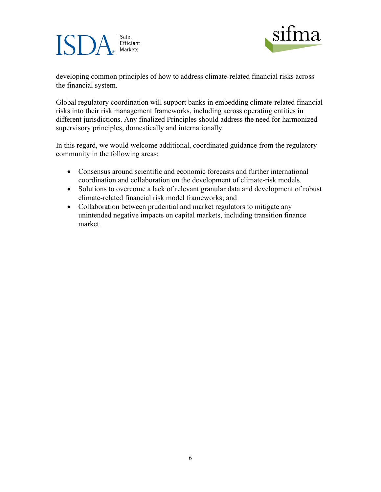#### Safe, ISI Efficient Markets



developing common principles of how to address climate-related financial risks across the financial system.

Global regulatory coordination will support banks in embedding climate-related financial risks into their risk management frameworks, including across operating entities in different jurisdictions. Any finalized Principles should address the need for harmonized supervisory principles, domestically and internationally.

In this regard, we would welcome additional, coordinated guidance from the regulatory community in the following areas:

- Consensus around scientific and economic forecasts and further international coordination and collaboration on the development of climate-risk models.
- Solutions to overcome a lack of relevant granular data and development of robust climate-related financial risk model frameworks; and
- Collaboration between prudential and market regulators to mitigate any unintended negative impacts on capital markets, including transition finance market.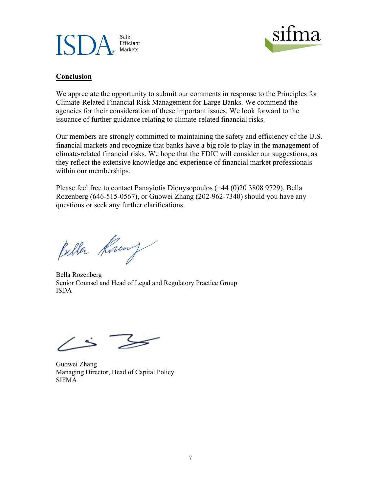



### **Conclusion**

We appreciate the opportunity to submit our comments in response to the Principles for Climate-Related Financial Risk Management for Large Banks. We commend the agencies for their consideration of these important issues. We look forward to the issuance of further guidance relating to climate-related financial risks.

Our members are strongly committed to maintaining the safety and efficiency of the U.S. financial markets and recognize that banks have a big role to play in the management of climate-related financial risks. We hope that the FDIC will consider our suggestions, as they reflect the extensive knowledge and experience of financial market professionals within our memberships.

Please feel free to contact Panayiotis Dionysopoulos (+44 (0)20 3808 9729), Bella Rozenberg (646-515-0567), or Guowei Zhang (202-962-7340) should you have any questions or seek any further clarifications.

Beller Kning

Bella Rozenberg Senior Counsel and Head of Legal and Regulatory Practice Group ISDA

Guowei Zhang Managing Director, Head of Capital Policy SIFMA